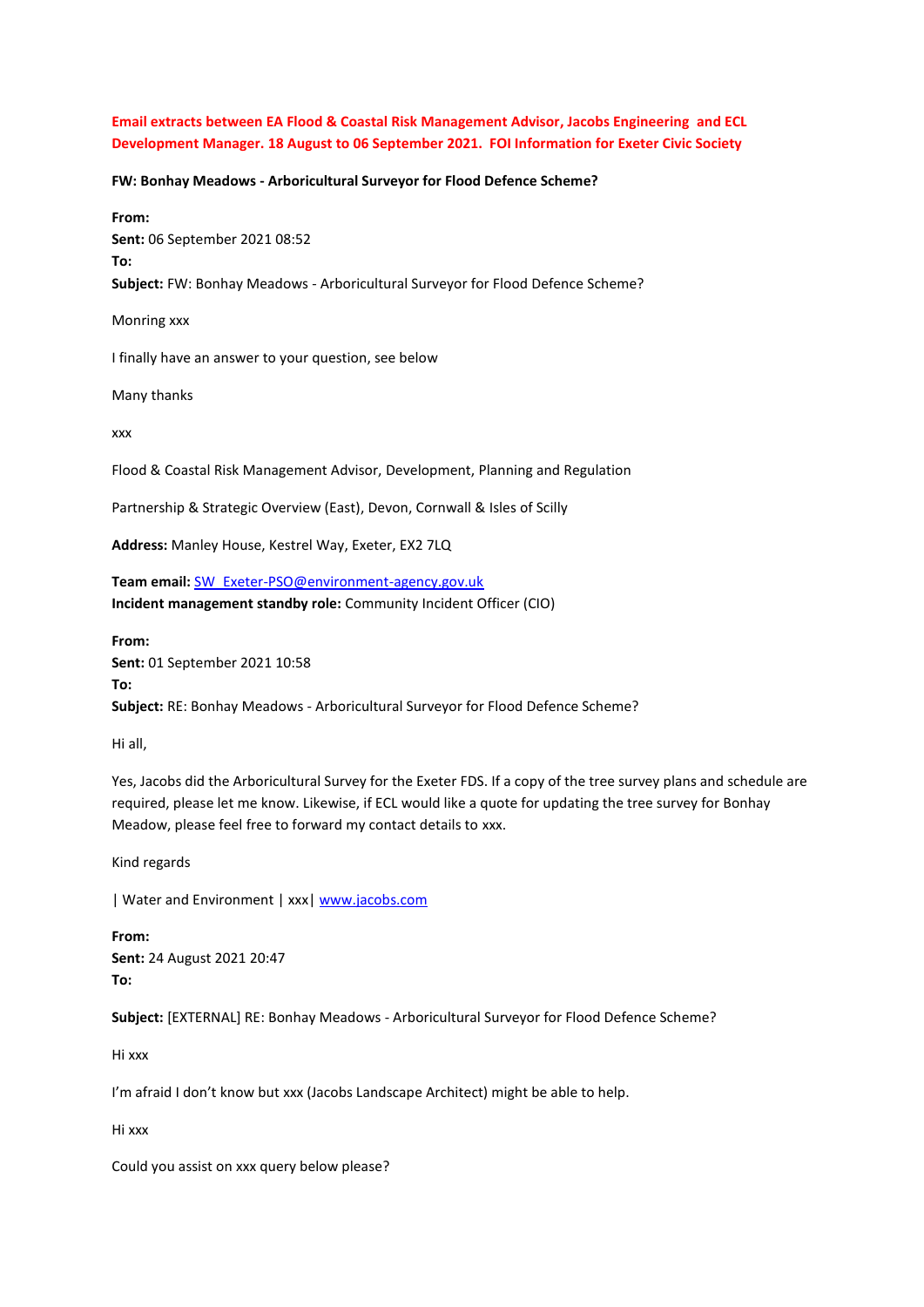**Email extracts between EA Flood & Coastal Risk Management Advisor, Jacobs Engineering and ECL Development Manager. 18 August to 06 September 2021. FOI Information for Exeter Civic Society**

**FW: Bonhay Meadows - Arboricultural Surveyor for Flood Defence Scheme?**

**From: Sent:** 06 September 2021 08:52 **To: Subject:** FW: Bonhay Meadows - Arboricultural Surveyor for Flood Defence Scheme? Monring xxx

I finally have an answer to your question, see below

Many thanks

xxx

Flood & Coastal Risk Management Advisor, Development, Planning and Regulation

Partnership & Strategic Overview (East), Devon, Cornwall & Isles of Scilly

**Address:** Manley House, Kestrel Way, Exeter, EX2 7LQ

**Team email:** [SW\\_Exeter-PSO@environment-agency.gov.uk](mailto:SW_Exeter-PSO@environment-agency.gov.uk) **Incident management standby role:** Community Incident Officer (CIO)

**From: Sent:** 01 September 2021 10:58 **To: Subject:** RE: Bonhay Meadows - Arboricultural Surveyor for Flood Defence Scheme?

Hi all,

Yes, Jacobs did the Arboricultural Survey for the Exeter FDS. If a copy of the tree survey plans and schedule are required, please let me know. Likewise, if ECL would like a quote for updating the tree survey for Bonhay Meadow, please feel free to forward my contact details to xxx.

Kind regards

| Water and Environment | xxx[| www.jacobs.com](http://www.jacobs.com/)

**From: Sent:** 24 August 2021 20:47 **To:**

**Subject:** [EXTERNAL] RE: Bonhay Meadows - Arboricultural Surveyor for Flood Defence Scheme?

Hi xxx

I'm afraid I don't know but xxx (Jacobs Landscape Architect) might be able to help.

Hi xxx

Could you assist on xxx query below please?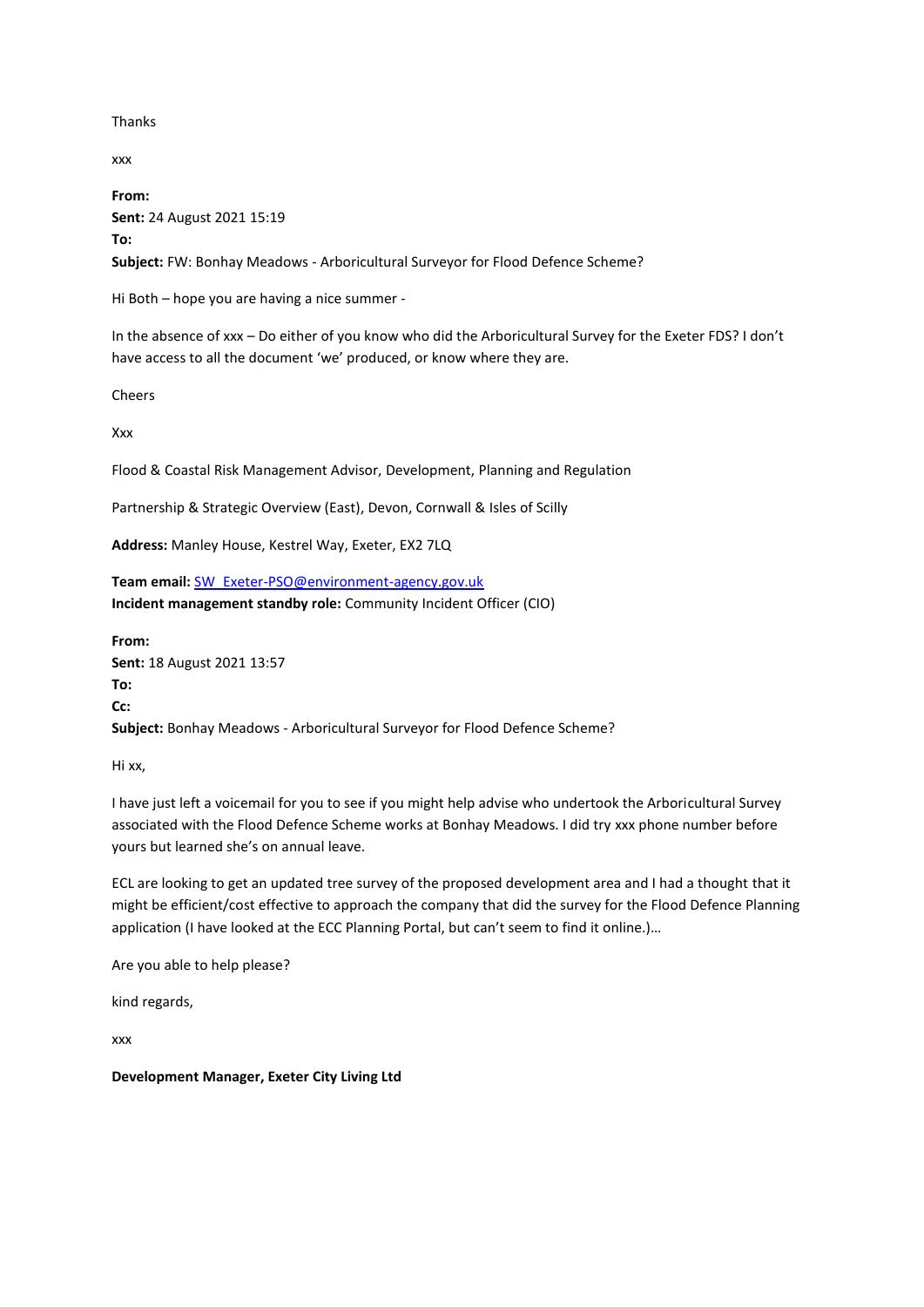Thanks

xxx

**From: Sent:** 24 August 2021 15:19 **To: Subject:** FW: Bonhay Meadows - Arboricultural Surveyor for Flood Defence Scheme?

Hi Both – hope you are having a nice summer -

In the absence of xxx – Do either of you know who did the Arboricultural Survey for the Exeter FDS? I don't have access to all the document 'we' produced, or know where they are.

Cheers

Xxx

Flood & Coastal Risk Management Advisor, Development, Planning and Regulation

Partnership & Strategic Overview (East), Devon, Cornwall & Isles of Scilly

**Address:** Manley House, Kestrel Way, Exeter, EX2 7LQ

**Team email:** [SW\\_Exeter-PSO@environment-agency.gov.uk](mailto:SW_Exeter-PSO@environment-agency.gov.uk) **Incident management standby role:** Community Incident Officer (CIO)

**From: Sent:** 18 August 2021 13:57 **To: Cc: Subject:** Bonhay Meadows - Arboricultural Surveyor for Flood Defence Scheme?

Hi xx,

I have just left a voicemail for you to see if you might help advise who undertook the Arboricultural Survey associated with the Flood Defence Scheme works at Bonhay Meadows. I did try xxx phone number before yours but learned she's on annual leave.

ECL are looking to get an updated tree survey of the proposed development area and I had a thought that it might be efficient/cost effective to approach the company that did the survey for the Flood Defence Planning application (I have looked at the ECC Planning Portal, but can't seem to find it online.)...

Are you able to help please?

kind regards,

xxx

**Development Manager, Exeter City Living Ltd**